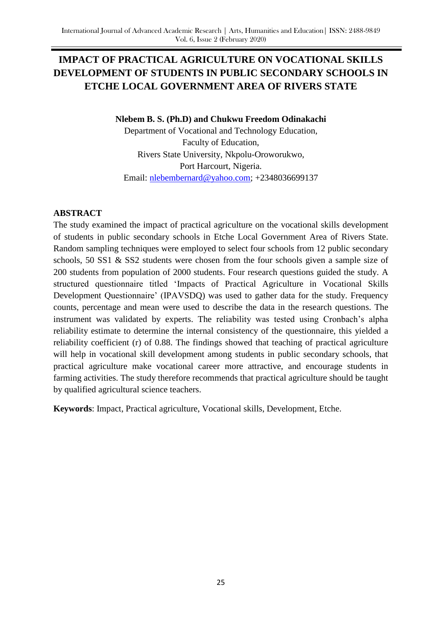# **IMPACT OF PRACTICAL AGRICULTURE ON VOCATIONAL SKILLS DEVELOPMENT OF STUDENTS IN PUBLIC SECONDARY SCHOOLS IN ETCHE LOCAL GOVERNMENT AREA OF RIVERS STATE**

## **Nlebem B. S. (Ph.D) and Chukwu Freedom Odinakachi**

Department of Vocational and Technology Education, Faculty of Education, Rivers State University, Nkpolu-Oroworukwo, Port Harcourt, Nigeria. Email: [nlebembernard@yahoo.com;](mailto:nlebembernard@yahoo.com) +2348036699137

## **ABSTRACT**

The study examined the impact of practical agriculture on the vocational skills development of students in public secondary schools in Etche Local Government Area of Rivers State. Random sampling techniques were employed to select four schools from 12 public secondary schools, 50 SS1 & SS2 students were chosen from the four schools given a sample size of 200 students from population of 2000 students. Four research questions guided the study. A structured questionnaire titled "Impacts of Practical Agriculture in Vocational Skills Development Questionnaire' (IPAVSDQ) was used to gather data for the study. Frequency counts, percentage and mean were used to describe the data in the research questions. The instrument was validated by experts. The reliability was tested using Cronbach"s alpha reliability estimate to determine the internal consistency of the questionnaire, this yielded a reliability coefficient (r) of 0.88. The findings showed that teaching of practical agriculture will help in vocational skill development among students in public secondary schools, that practical agriculture make vocational career more attractive, and encourage students in farming activities. The study therefore recommends that practical agriculture should be taught by qualified agricultural science teachers.

**Keywords**: Impact, Practical agriculture, Vocational skills, Development, Etche.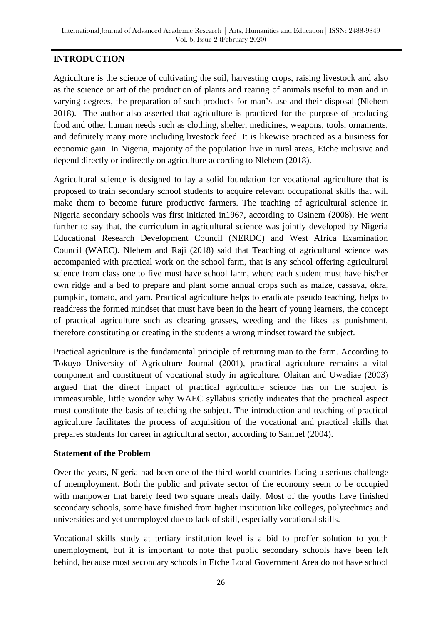## **INTRODUCTION**

Agriculture is the science of cultivating the soil, harvesting crops, raising livestock and also as the science or art of the production of plants and rearing of animals useful to man and in varying degrees, the preparation of such products for man"s use and their disposal (Nlebem 2018). The author also asserted that agriculture is practiced for the purpose of producing food and other human needs such as clothing, shelter, medicines, weapons, tools, ornaments, and definitely many more including livestock feed. It is likewise practiced as a business for economic gain. In Nigeria, majority of the population live in rural areas, Etche inclusive and depend directly or indirectly on agriculture according to Nlebem (2018).

Agricultural science is designed to lay a solid foundation for vocational agriculture that is proposed to train secondary school students to acquire relevant occupational skills that will make them to become future productive farmers. The teaching of agricultural science in Nigeria secondary schools was first initiated in1967, according to Osinem (2008). He went further to say that, the curriculum in agricultural science was jointly developed by Nigeria Educational Research Development Council (NERDC) and West Africa Examination Council (WAEC). Nlebem and Raji (2018) said that Teaching of agricultural science was accompanied with practical work on the school farm, that is any school offering agricultural science from class one to five must have school farm, where each student must have his/her own ridge and a bed to prepare and plant some annual crops such as maize, cassava, okra, pumpkin, tomato, and yam. Practical agriculture helps to eradicate pseudo teaching, helps to readdress the formed mindset that must have been in the heart of young learners, the concept of practical agriculture such as clearing grasses, weeding and the likes as punishment, therefore constituting or creating in the students a wrong mindset toward the subject.

Practical agriculture is the fundamental principle of returning man to the farm. According to Tokuyo University of Agriculture Journal (2001), practical agriculture remains a vital component and constituent of vocational study in agriculture. Olaitan and Uwadiae (2003) argued that the direct impact of practical agriculture science has on the subject is immeasurable, little wonder why WAEC syllabus strictly indicates that the practical aspect must constitute the basis of teaching the subject. The introduction and teaching of practical agriculture facilitates the process of acquisition of the vocational and practical skills that prepares students for career in agricultural sector, according to Samuel (2004).

## **Statement of the Problem**

Over the years, Nigeria had been one of the third world countries facing a serious challenge of unemployment. Both the public and private sector of the economy seem to be occupied with manpower that barely feed two square meals daily. Most of the youths have finished secondary schools, some have finished from higher institution like colleges, polytechnics and universities and yet unemployed due to lack of skill, especially vocational skills.

Vocational skills study at tertiary institution level is a bid to proffer solution to youth unemployment, but it is important to note that public secondary schools have been left behind, because most secondary schools in Etche Local Government Area do not have school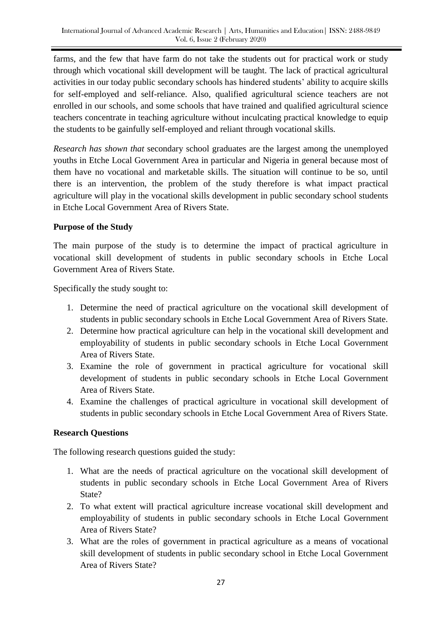farms, and the few that have farm do not take the students out for practical work or study through which vocational skill development will be taught. The lack of practical agricultural activities in our today public secondary schools has hindered students" ability to acquire skills for self-employed and self-reliance. Also, qualified agricultural science teachers are not enrolled in our schools, and some schools that have trained and qualified agricultural science teachers concentrate in teaching agriculture without inculcating practical knowledge to equip the students to be gainfully self-employed and reliant through vocational skills*.*

*Research has shown that* secondary school graduates are the largest among the unemployed youths in Etche Local Government Area in particular and Nigeria in general because most of them have no vocational and marketable skills. The situation will continue to be so, until there is an intervention, the problem of the study therefore is what impact practical agriculture will play in the vocational skills development in public secondary school students in Etche Local Government Area of Rivers State.

## **Purpose of the Study**

The main purpose of the study is to determine the impact of practical agriculture in vocational skill development of students in public secondary schools in Etche Local Government Area of Rivers State.

Specifically the study sought to:

- 1. Determine the need of practical agriculture on the vocational skill development of students in public secondary schools in Etche Local Government Area of Rivers State.
- 2. Determine how practical agriculture can help in the vocational skill development and employability of students in public secondary schools in Etche Local Government Area of Rivers State.
- 3. Examine the role of government in practical agriculture for vocational skill development of students in public secondary schools in Etche Local Government Area of Rivers State.
- 4. Examine the challenges of practical agriculture in vocational skill development of students in public secondary schools in Etche Local Government Area of Rivers State.

## **Research Questions**

The following research questions guided the study:

- 1. What are the needs of practical agriculture on the vocational skill development of students in public secondary schools in Etche Local Government Area of Rivers State?
- 2. To what extent will practical agriculture increase vocational skill development and employability of students in public secondary schools in Etche Local Government Area of Rivers State?
- 3. What are the roles of government in practical agriculture as a means of vocational skill development of students in public secondary school in Etche Local Government Area of Rivers State?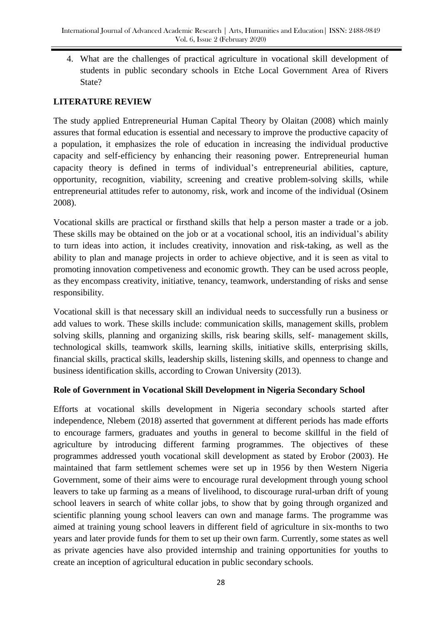4. What are the challenges of practical agriculture in vocational skill development of students in public secondary schools in Etche Local Government Area of Rivers State?

## **LITERATURE REVIEW**

The study applied Entrepreneurial Human Capital Theory by Olaitan (2008) which mainly assures that formal education is essential and necessary to improve the productive capacity of a population, it emphasizes the role of education in increasing the individual productive capacity and self-efficiency by enhancing their reasoning power. Entrepreneurial human capacity theory is defined in terms of individual"s entrepreneurial abilities, capture, opportunity, recognition, viability, screening and creative problem-solving skills, while entrepreneurial attitudes refer to autonomy, risk, work and income of the individual (Osinem 2008).

Vocational skills are practical or firsthand skills that help a person master a trade or a job. These skills may be obtained on the job or at a vocational school, it is an individual's ability to turn ideas into action, it includes creativity, innovation and risk-taking, as well as the ability to plan and manage projects in order to achieve objective, and it is seen as vital to promoting innovation competiveness and economic growth. They can be used across people, as they encompass creativity, initiative, tenancy, teamwork, understanding of risks and sense responsibility.

Vocational skill is that necessary skill an individual needs to successfully run a business or add values to work. These skills include: communication skills, management skills, problem solving skills, planning and organizing skills, risk bearing skills, self- management skills, technological skills, teamwork skills, learning skills, initiative skills, enterprising skills, financial skills, practical skills, leadership skills, listening skills, and openness to change and business identification skills, according to Crowan University (2013).

## **Role of Government in Vocational Skill Development in Nigeria Secondary School**

Efforts at vocational skills development in Nigeria secondary schools started after independence, Nlebem (2018) asserted that government at different periods has made efforts to encourage farmers, graduates and youths in general to become skillful in the field of agriculture by introducing different farming programmes. The objectives of these programmes addressed youth vocational skill development as stated by Erobor (2003). He maintained that farm settlement schemes were set up in 1956 by then Western Nigeria Government, some of their aims were to encourage rural development through young school leavers to take up farming as a means of livelihood, to discourage rural-urban drift of young school leavers in search of white collar jobs, to show that by going through organized and scientific planning young school leavers can own and manage farms. The programme was aimed at training young school leavers in different field of agriculture in six-months to two years and later provide funds for them to set up their own farm. Currently, some states as well as private agencies have also provided internship and training opportunities for youths to create an inception of agricultural education in public secondary schools.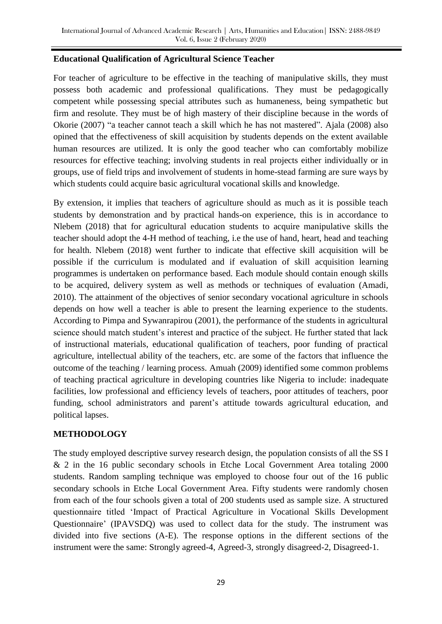## **Educational Qualification of Agricultural Science Teacher**

For teacher of agriculture to be effective in the teaching of manipulative skills, they must possess both academic and professional qualifications. They must be pedagogically competent while possessing special attributes such as humaneness, being sympathetic but firm and resolute. They must be of high mastery of their discipline because in the words of Okorie (2007) "a teacher cannot teach a skill which he has not mastered". Ajala (2008) also opined that the effectiveness of skill acquisition by students depends on the extent available human resources are utilized. It is only the good teacher who can comfortably mobilize resources for effective teaching; involving students in real projects either individually or in groups, use of field trips and involvement of students in home-stead farming are sure ways by which students could acquire basic agricultural vocational skills and knowledge.

By extension, it implies that teachers of agriculture should as much as it is possible teach students by demonstration and by practical hands-on experience, this is in accordance to Nlebem (2018) that for agricultural education students to acquire manipulative skills the teacher should adopt the 4-H method of teaching, i.e the use of hand, heart, head and teaching for health. Nlebem (2018) went further to indicate that effective skill acquisition will be possible if the curriculum is modulated and if evaluation of skill acquisition learning programmes is undertaken on performance based. Each module should contain enough skills to be acquired, delivery system as well as methods or techniques of evaluation (Amadi, 2010). The attainment of the objectives of senior secondary vocational agriculture in schools depends on how well a teacher is able to present the learning experience to the students. According to Pimpa and Sywanrapirou (2001), the performance of the students in agricultural science should match student's interest and practice of the subject. He further stated that lack of instructional materials, educational qualification of teachers, poor funding of practical agriculture, intellectual ability of the teachers, etc. are some of the factors that influence the outcome of the teaching / learning process. Amuah (2009) identified some common problems of teaching practical agriculture in developing countries like Nigeria to include: inadequate facilities, low professional and efficiency levels of teachers, poor attitudes of teachers, poor funding, school administrators and parent's attitude towards agricultural education, and political lapses.

## **METHODOLOGY**

The study employed descriptive survey research design, the population consists of all the SS I & 2 in the 16 public secondary schools in Etche Local Government Area totaling 2000 students. Random sampling technique was employed to choose four out of the 16 public secondary schools in Etche Local Government Area. Fifty students were randomly chosen from each of the four schools given a total of 200 students used as sample size. A structured questionnaire titled "Impact of Practical Agriculture in Vocational Skills Development Questionnaire" (IPAVSDQ) was used to collect data for the study. The instrument was divided into five sections (A-E). The response options in the different sections of the instrument were the same: Strongly agreed-4, Agreed-3, strongly disagreed-2, Disagreed-1.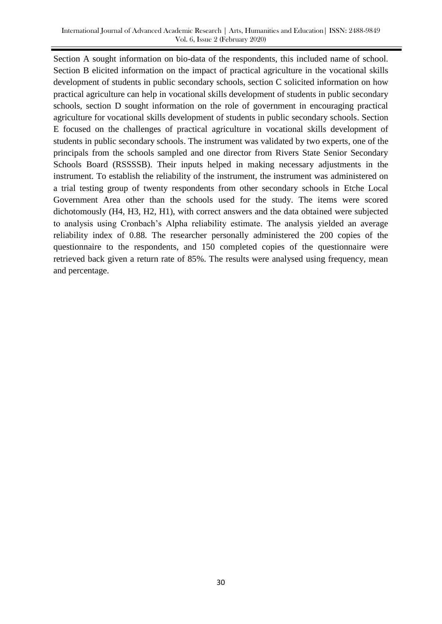Section A sought information on bio-data of the respondents, this included name of school. Section B elicited information on the impact of practical agriculture in the vocational skills development of students in public secondary schools, section C solicited information on how practical agriculture can help in vocational skills development of students in public secondary schools, section D sought information on the role of government in encouraging practical agriculture for vocational skills development of students in public secondary schools. Section E focused on the challenges of practical agriculture in vocational skills development of students in public secondary schools. The instrument was validated by two experts, one of the principals from the schools sampled and one director from Rivers State Senior Secondary Schools Board (RSSSSB). Their inputs helped in making necessary adjustments in the instrument. To establish the reliability of the instrument, the instrument was administered on a trial testing group of twenty respondents from other secondary schools in Etche Local Government Area other than the schools used for the study. The items were scored dichotomously (H4, H3, H2, H1), with correct answers and the data obtained were subjected to analysis using Cronbach"s Alpha reliability estimate. The analysis yielded an average reliability index of 0.88. The researcher personally administered the 200 copies of the questionnaire to the respondents, and 150 completed copies of the questionnaire were retrieved back given a return rate of 85%. The results were analysed using frequency, mean and percentage.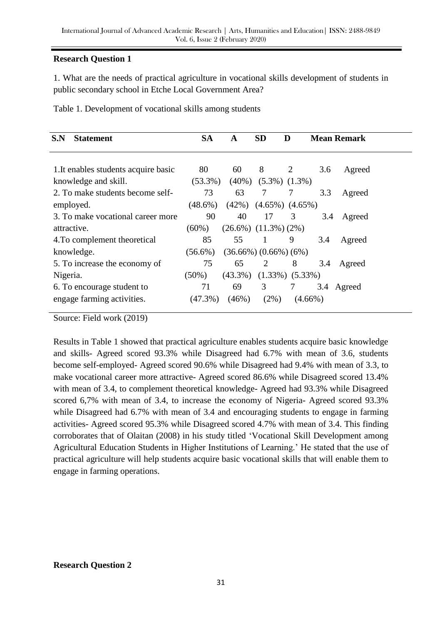## **Research Question 1**

1. What are the needs of practical agriculture in vocational skills development of students in public secondary school in Etche Local Government Area?

| 80<br>60<br>8<br>1. It enables students acquire basic<br>$\overline{2}$<br>3.6 | Agreed     |
|--------------------------------------------------------------------------------|------------|
| $(5.3\%) (1.3\%)$<br>knowledge and skill.<br>$(53.3\%)$<br>$(40\%)$            |            |
| 73<br>2. To make students become self-<br>63<br>7<br>3.3<br>7                  | Agreed     |
| (42%)<br>$(4.65\%)$ $(4.65\%)$<br>employed.<br>$(48.6\%)$                      |            |
| 90<br>40<br>3. To make vocational career more<br>17<br>3<br>3.4                | Agreed     |
| $(26.6\%)$ $(11.3\%)$ $(2\%)$<br>$(60\%)$<br>attractive.                       |            |
| 55<br>85<br>4. To complement theoretical<br>9<br>-1<br>3.4                     | Agreed     |
| knowledge.<br>$(36.66\%) (0.66\%) (6\%)$<br>$(56.6\%)$                         |            |
| 75<br>65<br>8<br>5. To increase the economy of<br>2<br>3.4                     | Agreed     |
| $(1.33\%)$ $(5.33\%)$<br>$(43.3\%)$<br>$(50\%)$<br>Nigeria.                    |            |
| 71<br>69<br>3<br>6. To encourage student to<br>7                               | 3.4 Agreed |
| $(47.3\%)$<br>$(2\%)$<br>engage farming activities.<br>(46%)<br>$(4.66\%)$     |            |

Source: Field work (2019)

Results in Table 1 showed that practical agriculture enables students acquire basic knowledge and skills- Agreed scored 93.3% while Disagreed had 6.7% with mean of 3.6, students become self-employed- Agreed scored 90.6% while Disagreed had 9.4% with mean of 3.3, to make vocational career more attractive- Agreed scored 86.6% while Disagreed scored 13.4% with mean of 3.4, to complement theoretical knowledge- Agreed had 93.3% while Disagreed scored 6,7% with mean of 3.4, to increase the economy of Nigeria- Agreed scored 93.3% while Disagreed had 6.7% with mean of 3.4 and encouraging students to engage in farming activities- Agreed scored 95.3% while Disagreed scored 4.7% with mean of 3.4. This finding corroborates that of Olaitan (2008) in his study titled "Vocational Skill Development among Agricultural Education Students in Higher Institutions of Learning." He stated that the use of practical agriculture will help students acquire basic vocational skills that will enable them to engage in farming operations.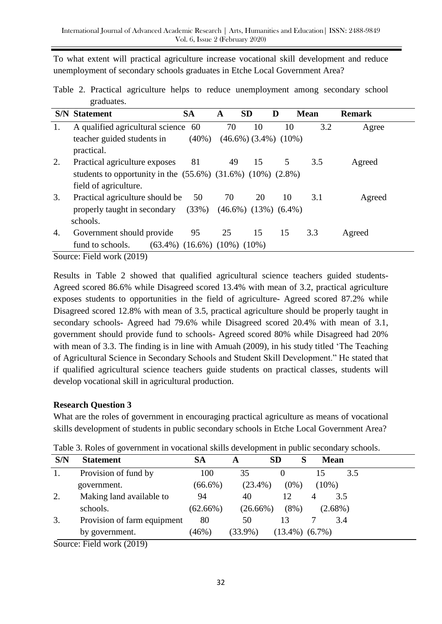To what extent will practical agriculture increase vocational skill development and reduce unemployment of secondary schools graduates in Etche Local Government Area?

Table 2. Practical agriculture helps to reduce unemployment among secondary school graduates.

|    | <b>S/N</b> Statement                                                | <b>SA</b>                               | A  | <b>SD</b>                              | D  | <b>Mean</b> | <b>Remark</b> |
|----|---------------------------------------------------------------------|-----------------------------------------|----|----------------------------------------|----|-------------|---------------|
| 1. | A qualified agricultural science 60                                 |                                         | 70 | 10                                     | 10 | 3.2         | Agree         |
|    | teacher guided students in                                          | $(40\%)$                                |    | $(46.6\%)$ $(3.4\%)$ $(10\%)$          |    |             |               |
|    | practical.                                                          |                                         |    |                                        |    |             |               |
| 2. | Practical agriculture exposes                                       | 81                                      | 49 | 15                                     | 5  | 3.5         | Agreed        |
|    | students to opportunity in the $(55.6%)$ $(31.6%)$ $(10%)$ $(2.8%)$ |                                         |    |                                        |    |             |               |
|    | field of agriculture.                                               |                                         |    |                                        |    |             |               |
| 3. | Practical agriculture should be                                     | 50                                      | 70 | 20                                     | 10 | 3.1         | Agreed        |
|    | properly taught in secondary                                        |                                         |    | $(33\%)$ $(46.6\%)$ $(13\%)$ $(6.4\%)$ |    |             |               |
|    | schools.                                                            |                                         |    |                                        |    |             |               |
| 4. | Government should provide                                           | 95                                      | 25 | 15                                     | 15 | 3.3         | Agreed        |
|    | fund to schools.                                                    | $(63.4\%)$ $(16.6\%)$ $(10\%)$ $(10\%)$ |    |                                        |    |             |               |
|    | $\gamma$                                                            |                                         |    |                                        |    |             |               |

Source: Field work (2019)

Results in Table 2 showed that qualified agricultural science teachers guided students-Agreed scored 86.6% while Disagreed scored 13.4% with mean of 3.2, practical agriculture exposes students to opportunities in the field of agriculture- Agreed scored 87.2% while Disagreed scored 12.8% with mean of 3.5, practical agriculture should be properly taught in secondary schools- Agreed had 79.6% while Disagreed scored 20.4% with mean of 3.1, government should provide fund to schools- Agreed scored 80% while Disagreed had 20% with mean of 3.3. The finding is in line with Amuah (2009), in his study titled "The Teaching of Agricultural Science in Secondary Schools and Student Skill Development." He stated that if qualified agricultural science teachers guide students on practical classes, students will develop vocational skill in agricultural production.

## **Research Question 3**

What are the roles of government in encouraging practical agriculture as means of vocational skills development of students in public secondary schools in Etche Local Government Area?

| S/N    | <b>Statement</b>            | SА          | A           | <b>SD</b><br>S     | <b>Mean</b> |     |
|--------|-----------------------------|-------------|-------------|--------------------|-------------|-----|
| 1.     | Provision of fund by        | 100         | 35          |                    |             | 3.5 |
|        | government.                 | $(66.6\%)$  | $(23.4\%)$  | $(0\%)$            | $(10\%)$    |     |
| 2.     | Making land available to    | 94          | 40          | 12                 | 3.5<br>4    |     |
|        | schools.                    | $(62.66\%)$ | $(26.66\%)$ | $(8\%)$            | $(2.68\%)$  |     |
| 3.     | Provision of farm equipment | 80          | 50          | 13                 | 3.4         |     |
|        | by government.              | (46%)       | $(33.9\%)$  | $(13.4\%) (6.7\%)$ |             |     |
| $\sim$ |                             |             |             |                    |             |     |

Table 3. Roles of government in vocational skills development in public secondary schools.

Source: Field work (2019)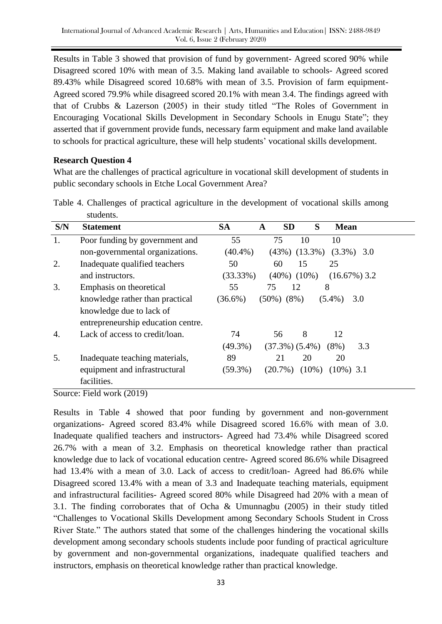Results in Table 3 showed that provision of fund by government- Agreed scored 90% while Disagreed scored 10% with mean of 3.5. Making land available to schools- Agreed scored 89.43% while Disagreed scored 10.68% with mean of 3.5. Provision of farm equipment-Agreed scored 79.9% while disagreed scored 20.1% with mean 3.4. The findings agreed with that of Crubbs & Lazerson (2005) in their study titled "The Roles of Government in Encouraging Vocational Skills Development in Secondary Schools in Enugu State"; they asserted that if government provide funds, necessary farm equipment and make land available to schools for practical agriculture, these will help students" vocational skills development.

## **Research Question 4**

What are the challenges of practical agriculture in vocational skill development of students in public secondary schools in Etche Local Government Area?

| S/N | <b>Statement</b>                   | <b>SA</b>  | <b>SD</b><br>A         | S<br><b>Mean</b> |                 |
|-----|------------------------------------|------------|------------------------|------------------|-----------------|
| 1.  | Poor funding by government and     | 55         | 75<br>10               | 10               |                 |
|     | non-governmental organizations.    | $(40.4\%)$ | $(43\%)$ $(13.3\%)$    |                  | $(3.3\%)$ 3.0   |
| 2.  | Inadequate qualified teachers      | 50         | 60<br>15               | 25               |                 |
|     | and instructors.                   | (33.33%)   | $(40\%) (10\%)$        |                  | $(16.67\%)$ 3.2 |
| 3.  | Emphasis on theoretical            | 55         | 75<br>12               | 8                |                 |
|     | knowledge rather than practical    | $(36.6\%)$ | $(50\%) (8\%)$         | $(5.4\%)$        | 3.0             |
|     | knowledge due to lack of           |            |                        |                  |                 |
|     | entrepreneurship education centre. |            |                        |                  |                 |
| 4.  | Lack of access to credit/loan.     | 74         | 8<br>56                | 12               |                 |
|     |                                    | $(49.3\%)$ | $(37.3\%)$ $(5.4\%)$   | $(8\%)$          | 3.3             |
| 5.  | Inadequate teaching materials,     | 89         | 21<br>20               | 20               |                 |
|     | equipment and infrastructural      | $(59.3\%)$ | $(20.7\%)$<br>$(10\%)$ | $(10\%)$ 3.1     |                 |
|     | facilities.                        |            |                        |                  |                 |
|     |                                    |            |                        |                  |                 |

Table 4. Challenges of practical agriculture in the development of vocational skills among students.

Source: Field work (2019)

Results in Table 4 showed that poor funding by government and non-government organizations- Agreed scored 83.4% while Disagreed scored 16.6% with mean of 3.0. Inadequate qualified teachers and instructors- Agreed had 73.4% while Disagreed scored 26.7% with a mean of 3.2. Emphasis on theoretical knowledge rather than practical knowledge due to lack of vocational education centre- Agreed scored 86.6% while Disagreed had 13.4% with a mean of 3.0. Lack of access to credit/loan- Agreed had 86.6% while Disagreed scored 13.4% with a mean of 3.3 and Inadequate teaching materials, equipment and infrastructural facilities- Agreed scored 80% while Disagreed had 20% with a mean of 3.1. The finding corroborates that of Ocha & Umunnagbu (2005) in their study titled "Challenges to Vocational Skills Development among Secondary Schools Student in Cross River State." The authors stated that some of the challenges hindering the vocational skills development among secondary schools students include poor funding of practical agriculture by government and non-governmental organizations, inadequate qualified teachers and instructors, emphasis on theoretical knowledge rather than practical knowledge.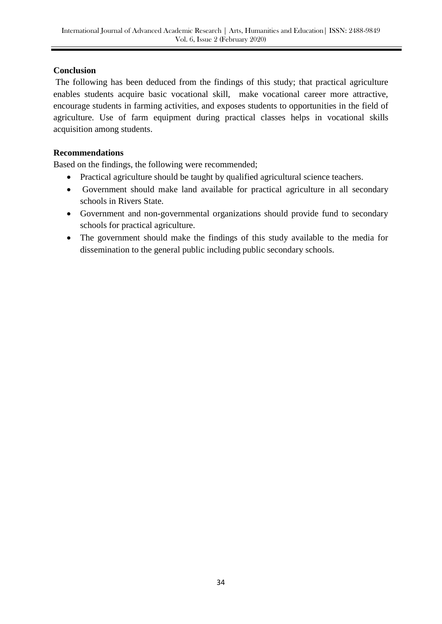## **Conclusion**

The following has been deduced from the findings of this study; that practical agriculture enables students acquire basic vocational skill, make vocational career more attractive, encourage students in farming activities, and exposes students to opportunities in the field of agriculture. Use of farm equipment during practical classes helps in vocational skills acquisition among students.

## **Recommendations**

Based on the findings, the following were recommended;

- Practical agriculture should be taught by qualified agricultural science teachers.
- Government should make land available for practical agriculture in all secondary schools in Rivers State.
- Government and non-governmental organizations should provide fund to secondary schools for practical agriculture.
- The government should make the findings of this study available to the media for dissemination to the general public including public secondary schools.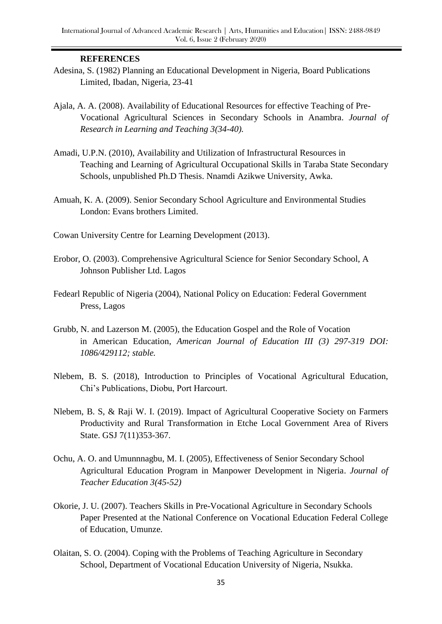#### **REFERENCES**

- Adesina, S. (1982) Planning an Educational Development in Nigeria, Board Publications Limited, Ibadan, Nigeria, 23-41
- Ajala, A. A. (2008). Availability of Educational Resources for effective Teaching of Pre-Vocational Agricultural Sciences in Secondary Schools in Anambra. *Journal of Research in Learning and Teaching 3(34-40).*
- Amadi, U.P.N. (2010), Availability and Utilization of Infrastructural Resources in Teaching and Learning of Agricultural Occupational Skills in Taraba State Secondary Schools, unpublished Ph.D Thesis. Nnamdi Azikwe University, Awka.
- Amuah, K. A. (2009). Senior Secondary School Agriculture and Environmental Studies London: Evans brothers Limited.
- Cowan University Centre for Learning Development (2013).
- Erobor, O. (2003). Comprehensive Agricultural Science for Senior Secondary School, A Johnson Publisher Ltd. Lagos
- Fedearl Republic of Nigeria (2004), National Policy on Education: Federal Government Press, Lagos
- Grubb, N. and Lazerson M. (2005), the Education Gospel and the Role of Vocation in American Education, *American Journal of Education III (3) 297-319 DOI: 1086/429112; stable.*
- Nlebem, B. S. (2018), Introduction to Principles of Vocational Agricultural Education, Chi"s Publications, Diobu, Port Harcourt.
- Nlebem, B. S, & Raji W. I. (2019). Impact of Agricultural Cooperative Society on Farmers Productivity and Rural Transformation in Etche Local Government Area of Rivers State. GSJ 7(11)353-367.
- Ochu, A. O. and Umunnnagbu, M. I. (2005), Effectiveness of Senior Secondary School Agricultural Education Program in Manpower Development in Nigeria. *Journal of Teacher Education 3(45-52)*
- Okorie, J. U. (2007). Teachers Skills in Pre-Vocational Agriculture in Secondary Schools Paper Presented at the National Conference on Vocational Education Federal College of Education, Umunze.
- Olaitan, S. O. (2004). Coping with the Problems of Teaching Agriculture in Secondary School, Department of Vocational Education University of Nigeria, Nsukka.